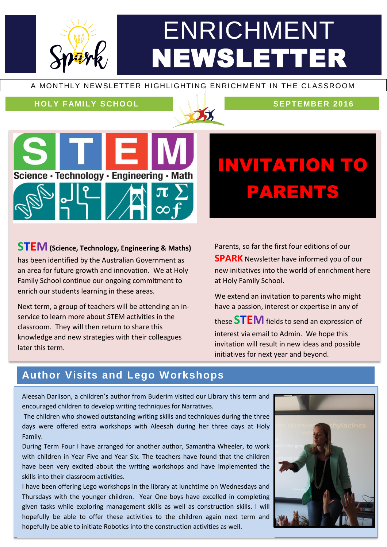# ENRICHMENT NEWSLETTER

#### A MONTHLY NEW SLETTER HIGHLIGHTING ENRICHMENT IN THE CLASSROOM

#### **HOLY FAMILY SCHOOL SEPTEMBER 2016**





# INVITATION TO PARENTS

### **STEM(Science, Technology, Engineering & Maths)**

has been identified by the Australian Government as an area for future growth and innovation. We at Holy Family School continue our ongoing commitment to enrich our students learning in these areas.

Next term, a group of teachers will be attending an inservice to learn more about STEM activities in the classroom. They will then return to share this knowledge and new strategies with their colleagues later this term.

Parents, so far the first four editions of our **SPARK** Newsletter have informed you of our new initiatives into the world of enrichment here at Holy Family School.

We extend an invitation to parents who might have a passion, interest or expertise in any of

these **STEM**fields to send an expression of interest via email to Admin. We hope this invitation will result in new ideas and possible initiatives for next year and beyond.

### **Author Visits and Lego Workshops**

Aleesah Darlison, a children's author from Buderim visited our Library this term and encouraged children to develop writing techniques for Narratives.

The children who showed outstanding writing skills and techniques during the three days were offered extra workshops with Aleesah during her three days at Holy Family.

During Term Four I have arranged for another author, Samantha Wheeler, to work with children in Year Five and Year Six. The teachers have found that the children have been very excited about the writing workshops and have implemented the skills into their classroom activities.

I have been offering Lego workshops in the library at lunchtime on Wednesdays and Thursdays with the younger children. Year One boys have excelled in completing given tasks while exploring management skills as well as construction skills. I will hopefully be able to offer these activities to the children again next term and hopefully be able to initiate Robotics into the construction activities as well.